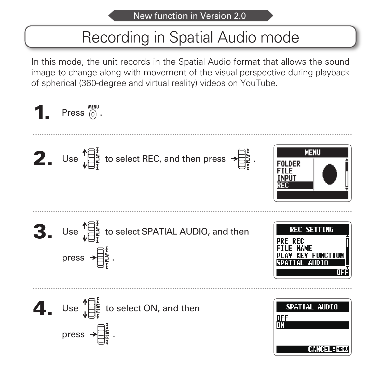# Recording in Spatial Audio mode

In this mode, the unit records in the Spatial Audio format that allows the sound image to change along with movement of the visual perspective during playback of spherical (360-degree and virtual reality) videos on YouTube.

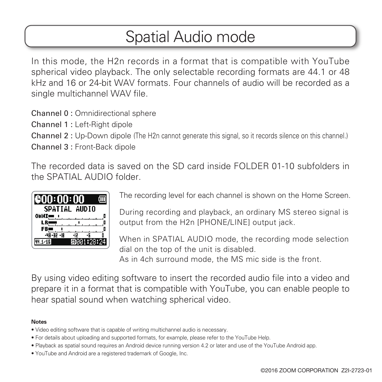### Spatial Audio mode

In this mode, the H2n records in a format that is compatible with YouTube spherical video playback. The only selectable recording formats are 44.1 or 48 kHz and 16 or 24-bit WAV formats. Four channels of audio will be recorded as a single multichannel WAV file.

Channel 0 : Omnidirectional sphere

Channel 1 : Left-Right dipole

Channel 2 : Up-Down dipole (The H2n cannot generate this signal, so it records silence on this channel.) Channel 3 : Front-Back dipole

The recorded data is saved on the SD card inside FOLDER 01-10 subfolders in the SPATIAL AUDIO folder.

| €00:00:00      |  |
|----------------|--|
| SPATIAL AUDIO  |  |
|                |  |
|                |  |
|                |  |
| $-IB$<br>-12   |  |
| ด1:28:1<br>ΙSΙ |  |

The recording level for each channel is shown on the Home Screen.

During recording and playback, an ordinary MS stereo signal is output from the H2n [PHONE/LINE] output jack.

When in SPATIAL AUDIO mode, the recording mode selection dial on the top of the unit is disabled.

As in 4ch surround mode, the MS mic side is the front.

By using video editing software to insert the recorded audio file into a video and prepare it in a format that is compatible with YouTube, you can enable people to hear spatial sound when watching spherical video.

#### **Notes**

- Video editing software that is capable of writing multichannel audio is necessary.
- For details about uploading and supported formats, for example, please refer to the YouTube Help.
- Playback as spatial sound requires an Android device running version 4.2 or later and use of the YouTube Android app.
- YouTube and Android are a registered trademark of Google, Inc.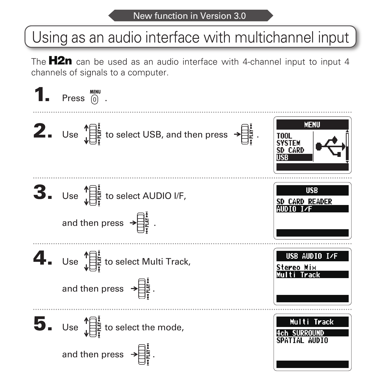# Using as an audio interface with multichannel input

The  $H2n$  can be used as an audio interface with 4-channel input to input 4 channels of signals to a computer.